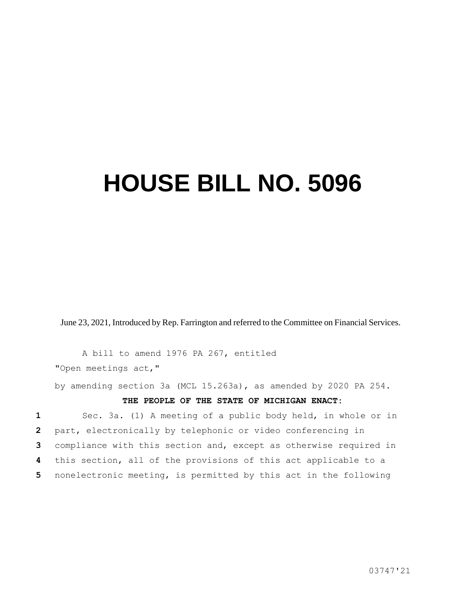## **HOUSE BILL NO. 5096**

June 23, 2021, Introduced by Rep. Farrington and referred to the Committee on Financial Services.

A bill to amend 1976 PA 267, entitled "Open meetings act,"

by amending section 3a (MCL 15.263a), as amended by 2020 PA 254.

## **THE PEOPLE OF THE STATE OF MICHIGAN ENACT:**

 Sec. 3a. (1) A meeting of a public body held, in whole or in part, electronically by telephonic or video conferencing in compliance with this section and, except as otherwise required in this section, all of the provisions of this act applicable to a nonelectronic meeting, is permitted by this act in the following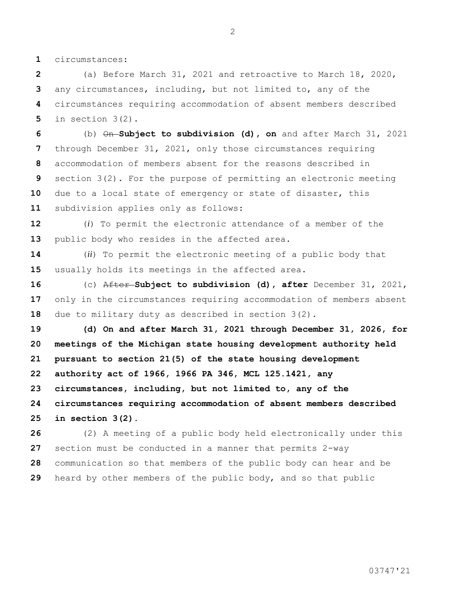circumstances:

 (a) Before March 31, 2021 and retroactive to March 18, 2020, any circumstances, including, but not limited to, any of the circumstances requiring accommodation of absent members described in section 3(2).

 (b) On **Subject to subdivision (d), on** and after March 31, 2021 through December 31, 2021, only those circumstances requiring accommodation of members absent for the reasons described in section 3(2). For the purpose of permitting an electronic meeting due to a local state of emergency or state of disaster, this subdivision applies only as follows:

 (*i*) To permit the electronic attendance of a member of the public body who resides in the affected area.

 (*ii*) To permit the electronic meeting of a public body that usually holds its meetings in the affected area.

 (c) After **Subject to subdivision (d), after** December 31, 2021, only in the circumstances requiring accommodation of members absent due to military duty as described in section 3(2).

 **(d) On and after March 31, 2021 through December 31, 2026, for meetings of the Michigan state housing development authority held pursuant to section 21(5) of the state housing development authority act of 1966, 1966 PA 346, MCL 125.1421, any circumstances, including, but not limited to, any of the circumstances requiring accommodation of absent members described in section 3(2).**

 (2) A meeting of a public body held electronically under this section must be conducted in a manner that permits 2-way communication so that members of the public body can hear and be heard by other members of the public body, and so that public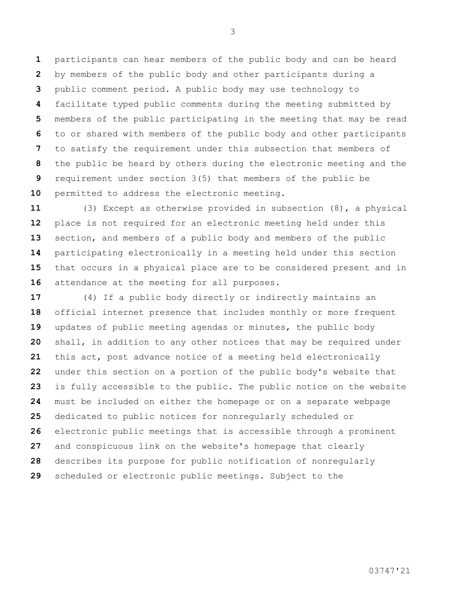participants can hear members of the public body and can be heard by members of the public body and other participants during a public comment period. A public body may use technology to facilitate typed public comments during the meeting submitted by members of the public participating in the meeting that may be read to or shared with members of the public body and other participants to satisfy the requirement under this subsection that members of the public be heard by others during the electronic meeting and the requirement under section 3(5) that members of the public be permitted to address the electronic meeting.

 (3) Except as otherwise provided in subsection (8), a physical place is not required for an electronic meeting held under this section, and members of a public body and members of the public participating electronically in a meeting held under this section that occurs in a physical place are to be considered present and in attendance at the meeting for all purposes.

 (4) If a public body directly or indirectly maintains an official internet presence that includes monthly or more frequent updates of public meeting agendas or minutes, the public body shall, in addition to any other notices that may be required under this act, post advance notice of a meeting held electronically under this section on a portion of the public body's website that is fully accessible to the public. The public notice on the website must be included on either the homepage or on a separate webpage dedicated to public notices for nonregularly scheduled or electronic public meetings that is accessible through a prominent and conspicuous link on the website's homepage that clearly describes its purpose for public notification of nonregularly scheduled or electronic public meetings. Subject to the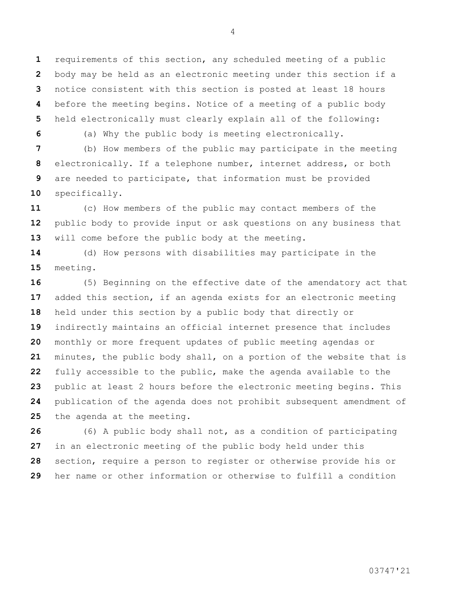requirements of this section, any scheduled meeting of a public body may be held as an electronic meeting under this section if a notice consistent with this section is posted at least 18 hours before the meeting begins. Notice of a meeting of a public body held electronically must clearly explain all of the following:

(a) Why the public body is meeting electronically.

 (b) How members of the public may participate in the meeting electronically. If a telephone number, internet address, or both are needed to participate, that information must be provided specifically.

 (c) How members of the public may contact members of the public body to provide input or ask questions on any business that will come before the public body at the meeting.

 (d) How persons with disabilities may participate in the meeting.

 (5) Beginning on the effective date of the amendatory act that added this section, if an agenda exists for an electronic meeting held under this section by a public body that directly or indirectly maintains an official internet presence that includes monthly or more frequent updates of public meeting agendas or minutes, the public body shall, on a portion of the website that is fully accessible to the public, make the agenda available to the public at least 2 hours before the electronic meeting begins. This publication of the agenda does not prohibit subsequent amendment of the agenda at the meeting.

 (6) A public body shall not, as a condition of participating in an electronic meeting of the public body held under this section, require a person to register or otherwise provide his or her name or other information or otherwise to fulfill a condition